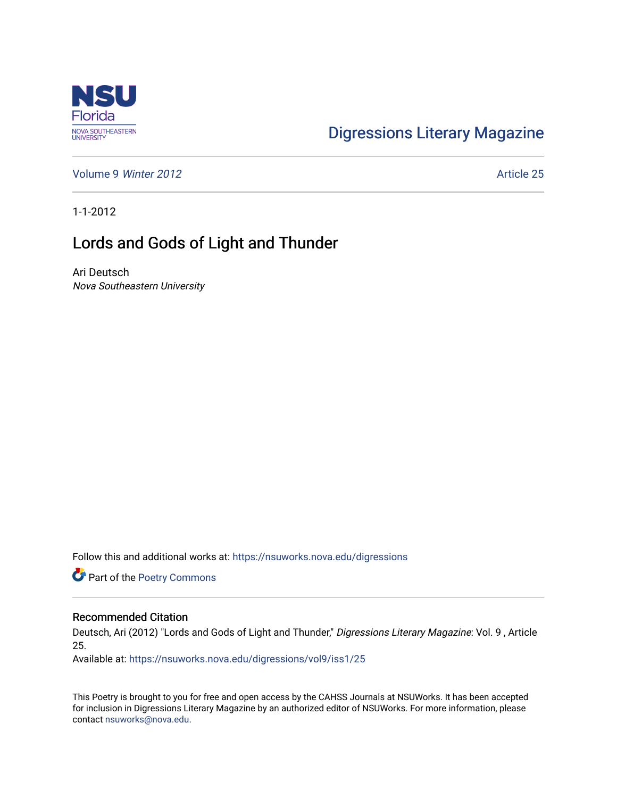

## [Digressions Literary Magazine](https://nsuworks.nova.edu/digressions)

[Volume 9](https://nsuworks.nova.edu/digressions/vol9) Winter 2012 **Article 25** Article 25

1-1-2012

## Lords and Gods of Light and Thunder

Ari Deutsch Nova Southeastern University

Follow this and additional works at: [https://nsuworks.nova.edu/digressions](https://nsuworks.nova.edu/digressions?utm_source=nsuworks.nova.edu%2Fdigressions%2Fvol9%2Fiss1%2F25&utm_medium=PDF&utm_campaign=PDFCoverPages) 

Part of the [Poetry Commons](http://network.bepress.com/hgg/discipline/1153?utm_source=nsuworks.nova.edu%2Fdigressions%2Fvol9%2Fiss1%2F25&utm_medium=PDF&utm_campaign=PDFCoverPages) 

## Recommended Citation

Deutsch, Ari (2012) "Lords and Gods of Light and Thunder," Digressions Literary Magazine: Vol. 9 , Article 25.

Available at: [https://nsuworks.nova.edu/digressions/vol9/iss1/25](https://nsuworks.nova.edu/digressions/vol9/iss1/25?utm_source=nsuworks.nova.edu%2Fdigressions%2Fvol9%2Fiss1%2F25&utm_medium=PDF&utm_campaign=PDFCoverPages) 

This Poetry is brought to you for free and open access by the CAHSS Journals at NSUWorks. It has been accepted for inclusion in Digressions Literary Magazine by an authorized editor of NSUWorks. For more information, please contact [nsuworks@nova.edu.](mailto:nsuworks@nova.edu)